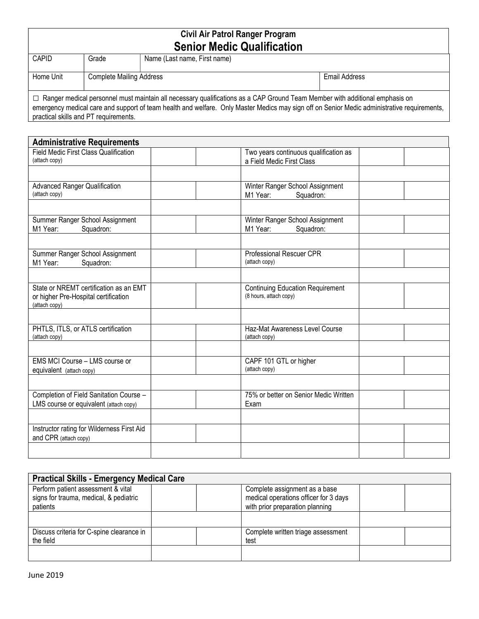## Civil Air Patrol Ranger Program Senior Medic Qualification

| <b>CAPID</b> | Grade                           | Name (Last name, First name) |                      |
|--------------|---------------------------------|------------------------------|----------------------|
| Home Unit    | <b>Complete Mailing Address</b> |                              | <b>Email Address</b> |

□ Ranger medical personnel must maintain all necessary qualifications as a CAP Ground Team Member with additional emphasis on emergency medical care and support of team health and welfare. Only Master Medics may sign off on Senior Medic administrative requirements, practical skills and PT requirements.

| <b>Administrative Requirements</b>                                                              |                                                                    |  |
|-------------------------------------------------------------------------------------------------|--------------------------------------------------------------------|--|
| <b>Field Medic First Class Qualification</b><br>(attach copy)                                   | Two years continuous qualification as<br>a Field Medic First Class |  |
|                                                                                                 |                                                                    |  |
| <b>Advanced Ranger Qualification</b><br>(attach copy)                                           | Winter Ranger School Assignment<br>M1 Year:<br>Squadron:           |  |
|                                                                                                 |                                                                    |  |
| Summer Ranger School Assignment<br>M1 Year:<br>Squadron:                                        | Winter Ranger School Assignment<br>M1 Year:<br>Squadron:           |  |
|                                                                                                 |                                                                    |  |
| Summer Ranger School Assignment<br>M1 Year:<br>Squadron:                                        | Professional Rescuer CPR<br>(attach copy)                          |  |
|                                                                                                 |                                                                    |  |
| State or NREMT certification as an EMT<br>or higher Pre-Hospital certification<br>(attach copy) | <b>Continuing Education Requirement</b><br>(8 hours, attach copy)  |  |
|                                                                                                 |                                                                    |  |
| PHTLS, ITLS, or ATLS certification<br>(attach copy)                                             | Haz-Mat Awareness Level Course<br>(attach copy)                    |  |
|                                                                                                 |                                                                    |  |
| EMS MCI Course - LMS course or<br>equivalent (attach copy)                                      | CAPF 101 GTL or higher<br>(attach copy)                            |  |
|                                                                                                 |                                                                    |  |
| Completion of Field Sanitation Course -<br>LMS course or equivalent (attach copy)               | 75% or better on Senior Medic Written<br>Exam                      |  |
|                                                                                                 |                                                                    |  |
| Instructor rating for Wilderness First Aid<br>and CPR (attach copy)                             |                                                                    |  |
|                                                                                                 |                                                                    |  |

| <b>Practical Skills - Emergency Medical Care</b>                             |  |                                                                        |  |  |
|------------------------------------------------------------------------------|--|------------------------------------------------------------------------|--|--|
| Perform patient assessment & vital<br>signs for trauma, medical, & pediatric |  | Complete assignment as a base<br>medical operations officer for 3 days |  |  |
| patients                                                                     |  | with prior preparation planning                                        |  |  |
|                                                                              |  |                                                                        |  |  |
| Discuss criteria for C-spine clearance in<br>the field                       |  | Complete written triage assessment<br>test                             |  |  |
|                                                                              |  |                                                                        |  |  |